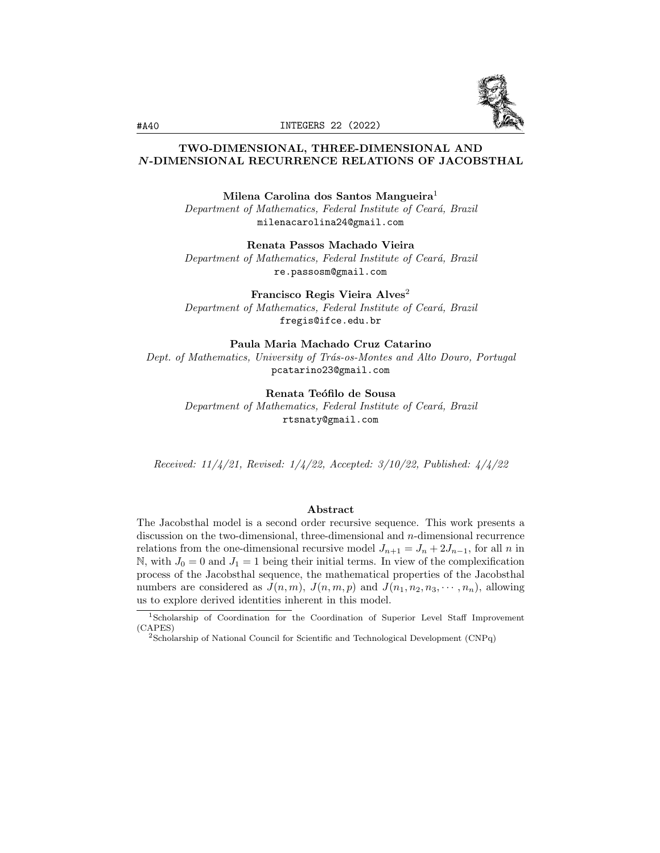

# TWO-DIMENSIONAL, THREE-DIMENSIONAL AND N-DIMENSIONAL RECURRENCE RELATIONS OF JACOBSTHAL

Milena Carolina dos Santos Mangueira<sup>1</sup> Department of Mathematics, Federal Institute of Ceará, Brazil milenacarolina24@gmail.com

Renata Passos Machado Vieira

Department of Mathematics, Federal Institute of Ceará, Brazil re.passosm@gmail.com

Francisco Regis Vieira Alves<sup>2</sup> Department of Mathematics, Federal Institute of Ceará, Brazil fregis@ifce.edu.br

Paula Maria Machado Cruz Catarino Dept. of Mathematics, University of Trás-os-Montes and Alto Douro, Portugal pcatarino23@gmail.com

> Renata Teófilo de Sousa Department of Mathematics, Federal Institute of Ceará, Brazil rtsnaty@gmail.com

Received: 11/4/21, Revised: 1/4/22, Accepted: 3/10/22, Published: 4/4/22

### Abstract

The Jacobsthal model is a second order recursive sequence. This work presents a discussion on the two-dimensional, three-dimensional and n-dimensional recurrence relations from the one-dimensional recursive model  $J_{n+1} = J_n + 2J_{n-1}$ , for all n in N, with  $J_0 = 0$  and  $J_1 = 1$  being their initial terms. In view of the complexification process of the Jacobsthal sequence, the mathematical properties of the Jacobsthal numbers are considered as  $J(n, m)$ ,  $J(n, m, p)$  and  $J(n_1, n_2, n_3, \cdots, n_n)$ , allowing us to explore derived identities inherent in this model.

<sup>1</sup>Scholarship of Coordination for the Coordination of Superior Level Staff Improvement (CAPES)

<sup>2</sup>Scholarship of National Council for Scientific and Technological Development (CNPq)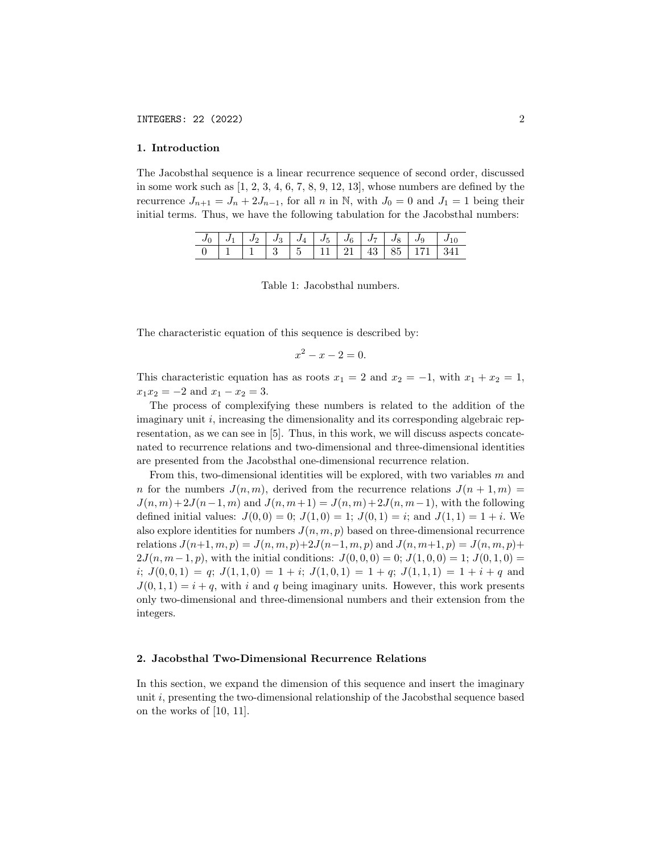#### 1. Introduction

The Jacobsthal sequence is a linear recurrence sequence of second order, discussed in some work such as  $[1, 2, 3, 4, 6, 7, 8, 9, 12, 13]$ , whose numbers are defined by the recurrence  $J_{n+1} = J_n + 2J_{n-1}$ , for all n in N, with  $J_0 = 0$  and  $J_1 = 1$  being their initial terms. Thus, we have the following tabulation for the Jacobsthal numbers:

|  |  |  |  | $J_0$   $J_1$   $J_2$   $J_3$   $J_4$   $J_5$   $J_6$   $J_7$   $J_8$   $J_9$   $J_{10}$ |  |
|--|--|--|--|------------------------------------------------------------------------------------------|--|
|  |  |  |  |                                                                                          |  |

Table 1: Jacobsthal numbers.

The characteristic equation of this sequence is described by:

$$
x^2 - x - 2 = 0.
$$

This characteristic equation has as roots  $x_1 = 2$  and  $x_2 = -1$ , with  $x_1 + x_2 = 1$ ,  $x_1x_2 = -2$  and  $x_1 - x_2 = 3$ .

The process of complexifying these numbers is related to the addition of the imaginary unit  $i$ , increasing the dimensionality and its corresponding algebraic representation, as we can see in [5]. Thus, in this work, we will discuss aspects concatenated to recurrence relations and two-dimensional and three-dimensional identities are presented from the Jacobsthal one-dimensional recurrence relation.

From this, two-dimensional identities will be explored, with two variables m and n for the numbers  $J(n, m)$ , derived from the recurrence relations  $J(n + 1, m) =$  $J(n, m) + 2J(n-1, m)$  and  $J(n, m+1) = J(n, m) + 2J(n, m-1)$ , with the following defined initial values:  $J(0,0) = 0$ ;  $J(1,0) = 1$ ;  $J(0,1) = i$ ; and  $J(1,1) = 1 + i$ . We also explore identities for numbers  $J(n, m, p)$  based on three-dimensional recurrence relations  $J(n+1, m, p) = J(n, m, p)+2J(n-1, m, p)$  and  $J(n, m+1, p) = J(n, m, p)+2J(n-1, m, p)$  $2J(n, m-1, p)$ , with the initial conditions:  $J(0, 0, 0) = 0$ ;  $J(1, 0, 0) = 1$ ;  $J(0, 1, 0) =$  $i; J(0,0,1) = q; J(1,1,0) = 1 + i; J(1,0,1) = 1 + q; J(1,1,1) = 1 + i + q$  and  $J(0, 1, 1) = i + q$ , with i and q being imaginary units. However, this work presents only two-dimensional and three-dimensional numbers and their extension from the integers.

#### 2. Jacobsthal Two-Dimensional Recurrence Relations

In this section, we expand the dimension of this sequence and insert the imaginary unit i, presenting the two-dimensional relationship of the Jacobsthal sequence based on the works of [10, 11].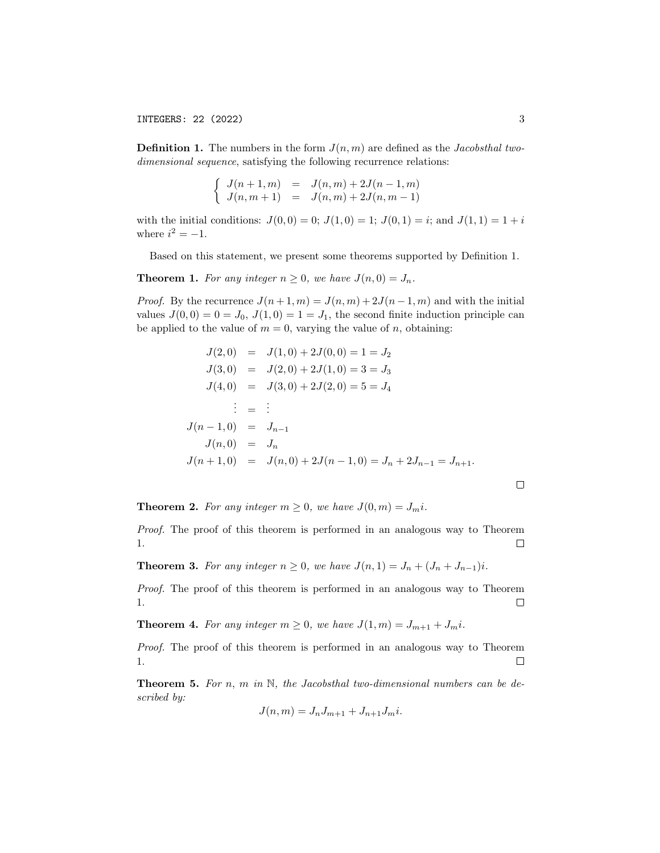INTEGERS: 22 (2022) 3

**Definition 1.** The numbers in the form  $J(n, m)$  are defined as the *Jacobsthal two*dimensional sequence, satisfying the following recurrence relations:

$$
\begin{cases}\nJ(n+1,m) = J(n,m) + 2J(n-1,m) \\
J(n,m+1) = J(n,m) + 2J(n,m-1)\n\end{cases}
$$

with the initial conditions:  $J(0,0) = 0$ ;  $J(1,0) = 1$ ;  $J(0,1) = i$ ; and  $J(1,1) = 1 + i$ where  $i^2 = -1$ .

Based on this statement, we present some theorems supported by Definition 1.

**Theorem 1.** For any integer  $n \geq 0$ , we have  $J(n, 0) = J_n$ .

*Proof.* By the recurrence  $J(n+1,m) = J(n,m) + 2J(n-1,m)$  and with the initial values  $J(0,0) = 0 = J_0, J(1,0) = 1 = J_1$ , the second finite induction principle can be applied to the value of  $m = 0$ , varying the value of n, obtaining:

$$
J(2,0) = J(1,0) + 2J(0,0) = 1 = J_2
$$
  
\n
$$
J(3,0) = J(2,0) + 2J(1,0) = 3 = J_3
$$
  
\n
$$
J(4,0) = J(3,0) + 2J(2,0) = 5 = J_4
$$
  
\n
$$
\vdots = \vdots
$$
  
\n
$$
J(n-1,0) = J_{n-1}
$$
  
\n
$$
J(n,0) = J_n
$$
  
\n
$$
J(n+1,0) = J(n,0) + 2J(n-1,0) = J_n + 2J_{n-1} = J_{n+1}.
$$

**Theorem 2.** For any integer  $m \geq 0$ , we have  $J(0, m) = J_m i$ .

Proof. The proof of this theorem is performed in an analogous way to Theorem 1.  $\Box$ 

**Theorem 3.** For any integer  $n \geq 0$ , we have  $J(n, 1) = J_n + (J_n + J_{n-1})i$ .

Proof. The proof of this theorem is performed in an analogous way to Theorem 1.  $\Box$ 

**Theorem 4.** For any integer  $m \geq 0$ , we have  $J(1, m) = J_{m+1} + J_m i$ .

Proof. The proof of this theorem is performed in an analogous way to Theorem 1.  $\Box$ 

**Theorem 5.** For n, m in  $\mathbb{N}$ , the Jacobsthal two-dimensional numbers can be described by:

$$
J(n, m) = J_n J_{m+1} + J_{n+1} J_m i.
$$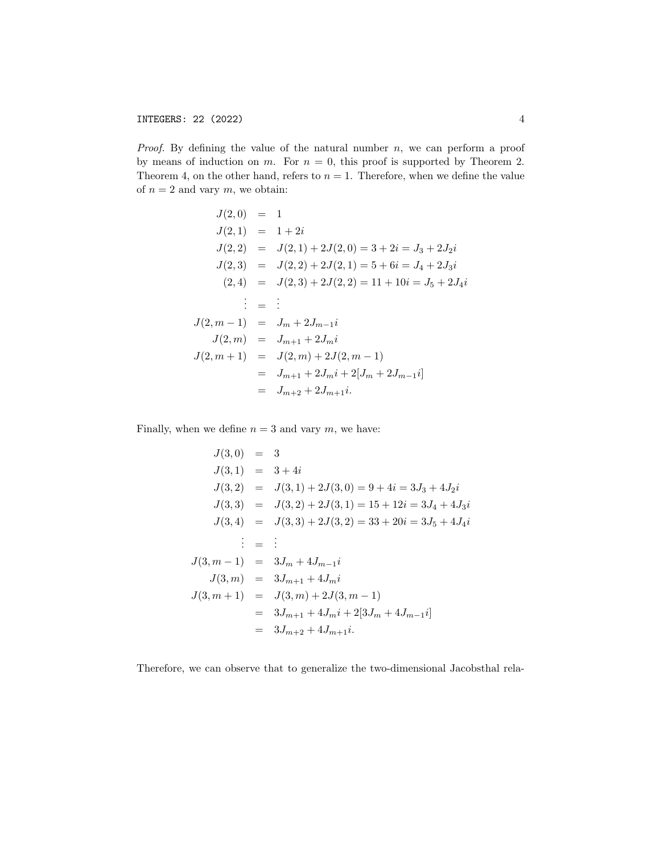*Proof.* By defining the value of the natural number  $n$ , we can perform a proof by means of induction on m. For  $n = 0$ , this proof is supported by Theorem 2. Theorem 4, on the other hand, refers to  $n = 1$ . Therefore, when we define the value of  $n = 2$  and vary  $m$ , we obtain:

$$
J(2,0) = 1
$$
  
\n
$$
J(2,1) = 1 + 2i
$$
  
\n
$$
J(2,2) = J(2,1) + 2J(2,0) = 3 + 2i = J_3 + 2J_2i
$$
  
\n
$$
J(2,3) = J(2,2) + 2J(2,1) = 5 + 6i = J_4 + 2J_3i
$$
  
\n
$$
(2,4) = J(2,3) + 2J(2,2) = 11 + 10i = J_5 + 2J_4i
$$
  
\n
$$
\vdots = \vdots
$$
  
\n
$$
J(2,m-1) = J_m + 2J_{m-1}i
$$
  
\n
$$
J(2,m) = J_{m+1} + 2J_m i
$$
  
\n
$$
J(2,m+1) = J(2,m) + 2J(2,m-1)
$$
  
\n
$$
= J_{m+1} + 2J_m i + 2[J_m + 2J_{m-1}i]
$$
  
\n
$$
= J_{m+2} + 2J_{m+1}i.
$$

Finally, when we define  $n = 3$  and vary m, we have:

$$
J(3,0) = 3
$$
  
\n
$$
J(3,1) = 3 + 4i
$$
  
\n
$$
J(3,2) = J(3,1) + 2J(3,0) = 9 + 4i = 3J_3 + 4J_2i
$$
  
\n
$$
J(3,3) = J(3,2) + 2J(3,1) = 15 + 12i = 3J_4 + 4J_3i
$$
  
\n
$$
J(3,4) = J(3,3) + 2J(3,2) = 33 + 20i = 3J_5 + 4J_4i
$$
  
\n
$$
\vdots = \vdots
$$
  
\n
$$
J(3,m-1) = 3J_m + 4J_{m-1}i
$$
  
\n
$$
J(3,m) = 3J_{m+1} + 4J_m i
$$
  
\n
$$
J(3,m+1) = J(3,m) + 2J(3,m-1)
$$
  
\n
$$
= 3J_{m+1} + 4J_m i + 2[3J_m + 4J_{m-1}i]
$$
  
\n
$$
= 3J_{m+2} + 4J_{m+1}i.
$$

Therefore, we can observe that to generalize the two-dimensional Jacobsthal rela-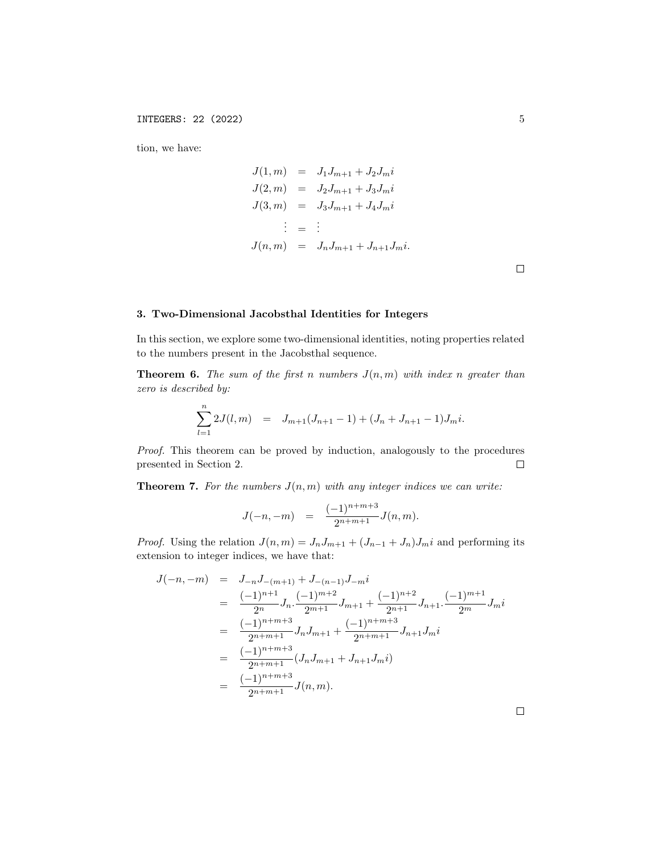tion, we have:

$$
J(1, m) = J_1 J_{m+1} + J_2 J_m i
$$
  
\n
$$
J(2, m) = J_2 J_{m+1} + J_3 J_m i
$$
  
\n
$$
J(3, m) = J_3 J_{m+1} + J_4 J_m i
$$
  
\n
$$
\vdots = \vdots
$$
  
\n
$$
J(n, m) = J_n J_{m+1} + J_{n+1} J_m i.
$$

 $\Box$ 

## 3. Two-Dimensional Jacobsthal Identities for Integers

In this section, we explore some two-dimensional identities, noting properties related to the numbers present in the Jacobsthal sequence.

**Theorem 6.** The sum of the first n numbers  $J(n, m)$  with index n greater than zero is described by:

$$
\sum_{l=1}^{n} 2J(l,m) = J_{m+1}(J_{n+1}-1) + (J_n + J_{n+1} - 1)J_m i.
$$

Proof. This theorem can be proved by induction, analogously to the procedures presented in Section 2.  $\Box$ 

**Theorem 7.** For the numbers  $J(n, m)$  with any integer indices we can write:

$$
J(-n,-m) = \frac{(-1)^{n+m+3}}{2^{n+m+1}} J(n,m).
$$

*Proof.* Using the relation  $J(n, m) = J_n J_{m+1} + (J_{n-1} + J_n) J_m i$  and performing its extension to integer indices, we have that:

$$
J(-n,-m) = J_{-n}J_{-(m+1)} + J_{-(n-1)}J_{-m}i
$$
  
\n
$$
= \frac{(-1)^{n+1}}{2^n}J_n \cdot \frac{(-1)^{m+2}}{2^{m+1}}J_{m+1} + \frac{(-1)^{n+2}}{2^{n+1}}J_{n+1} \cdot \frac{(-1)^{m+1}}{2^m}J_m i
$$
  
\n
$$
= \frac{(-1)^{n+m+3}}{2^{n+m+1}}J_nJ_{m+1} + \frac{(-1)^{n+m+3}}{2^{n+m+1}}J_{n+1}J_m i
$$
  
\n
$$
= \frac{(-1)^{n+m+3}}{2^{n+m+1}}(J_nJ_{m+1} + J_{n+1}J_m i)
$$
  
\n
$$
= \frac{(-1)^{n+m+3}}{2^{n+m+1}}J(n,m).
$$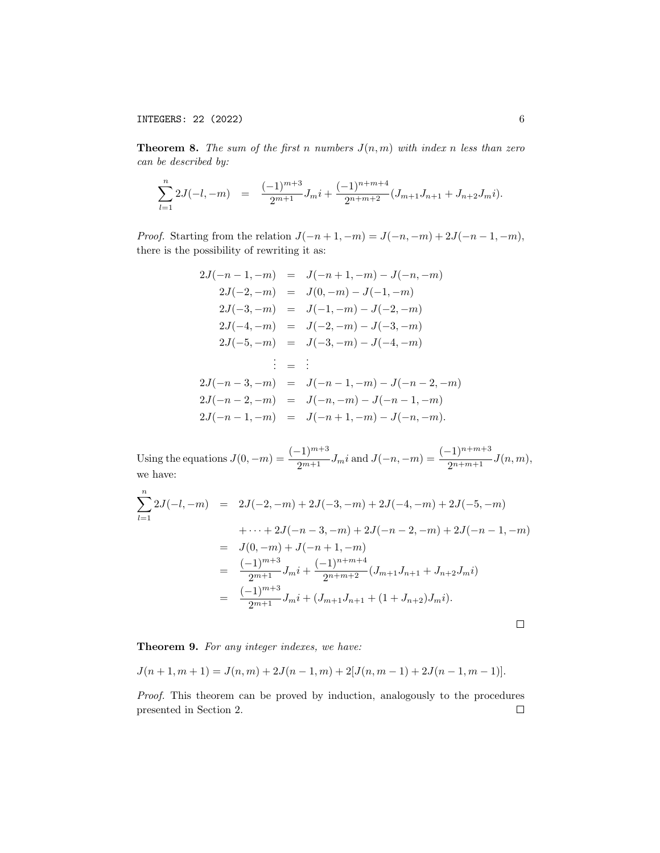**Theorem 8.** The sum of the first n numbers  $J(n, m)$  with index n less than zero can be described by:

$$
\sum_{l=1}^{n} 2J(-l, -m) = \frac{(-1)^{m+3}}{2^{m+1}} J_m i + \frac{(-1)^{n+m+4}}{2^{n+m+2}} (J_{m+1} J_{n+1} + J_{n+2} J_m i).
$$

*Proof.* Starting from the relation  $J(-n+1, -m) = J(-n, -m) + 2J(-n-1, -m)$ , there is the possibility of rewriting it as:

$$
2J(-n-1,-m) = J(-n+1,-m) - J(-n,-m)
$$
  
\n
$$
2J(-2,-m) = J(0,-m) - J(-1,-m)
$$
  
\n
$$
2J(-3,-m) = J(-1,-m) - J(-2,-m)
$$
  
\n
$$
2J(-4,-m) = J(-2,-m) - J(-3,-m)
$$
  
\n
$$
2J(-5,-m) = J(-3,-m) - J(-4,-m)
$$
  
\n
$$
\vdots = \vdots
$$
  
\n
$$
2J(-n-3,-m) = J(-n-1,-m) - J(-n-2,-m)
$$
  
\n
$$
2J(-n-2,-m) = J(-n,-m) - J(-n-1,-m)
$$
  
\n
$$
2J(-n-1,-m) = J(-n+1,-m) - J(-n,-m).
$$

Using the equations  $J(0, -m) = \frac{(-1)^{m+3}}{2^{m+1}} J_m i$  and  $J(-n, -m) = \frac{(-1)^{n+m+3}}{2^{n+m+1}} J(n, m)$ , we have:

$$
\sum_{l=1}^{n} 2J(-l, -m) = 2J(-2, -m) + 2J(-3, -m) + 2J(-4, -m) + 2J(-5, -m)
$$
  
+  $\cdots + 2J(-n - 3, -m) + 2J(-n - 2, -m) + 2J(-n - 1, -m)$   
=  $J(0, -m) + J(-n + 1, -m)$   
= 
$$
\frac{(-1)^{m+3}}{2^{m+1}} J_m i + \frac{(-1)^{n+m+4}}{2^{n+m+2}} (J_{m+1} J_{n+1} + J_{n+2} J_m i)
$$
  
= 
$$
\frac{(-1)^{m+3}}{2^{m+1}} J_m i + (J_{m+1} J_{n+1} + (1 + J_{n+2}) J_m i).
$$

Theorem 9. For any integer indexes, we have:

$$
J(n+1,m+1) = J(n,m) + 2J(n-1,m) + 2[J(n,m-1) + 2J(n-1,m-1)].
$$

Proof. This theorem can be proved by induction, analogously to the procedures presented in Section 2. $\Box$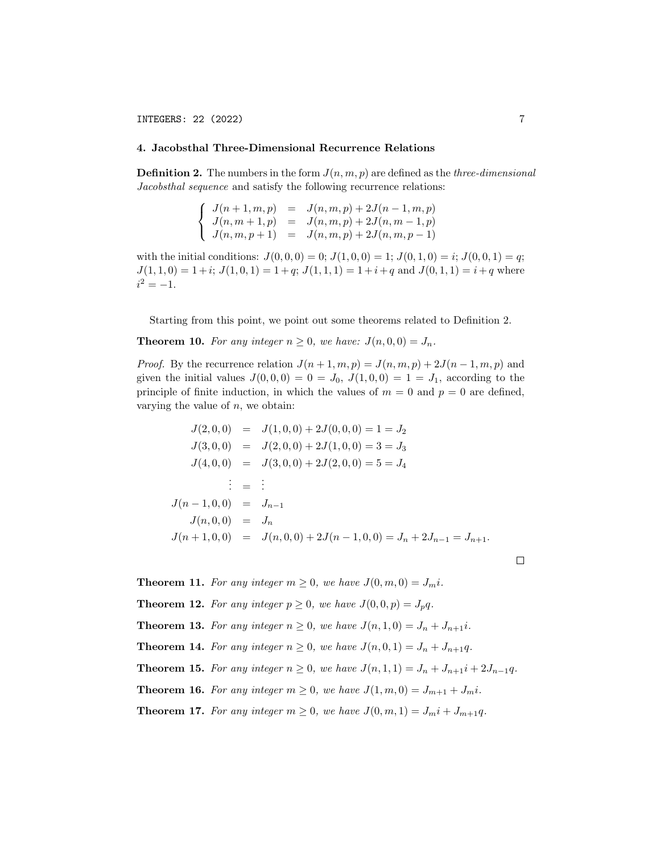### 4. Jacobsthal Three-Dimensional Recurrence Relations

**Definition 2.** The numbers in the form  $J(n, m, p)$  are defined as the *three-dimensional* Jacobsthal sequence and satisfy the following recurrence relations:

$$
\begin{cases}\nJ(n+1,m,p) &= J(n,m,p) + 2J(n-1,m,p) \\
J(n,m+1,p) &= J(n,m,p) + 2J(n,m-1,p) \\
J(n,m,p+1) &= J(n,m,p) + 2J(n,m,p-1)\n\end{cases}
$$

with the initial conditions:  $J(0,0,0) = 0; J(1,0,0) = 1; J(0,1,0) = i; J(0,0,1) = q;$  $J(1,1,0) = 1+i$ ;  $J(1,0,1) = 1+q$ ;  $J(1,1,1) = 1+i+q$  and  $J(0,1,1) = i+q$  where  $i^2 = -1.$ 

Starting from this point, we point out some theorems related to Definition 2.

**Theorem 10.** For any integer  $n \geq 0$ , we have:  $J(n,0,0) = J_n$ .

*Proof.* By the recurrence relation  $J(n+1, m, p) = J(n, m, p) + 2J(n-1, m, p)$  and given the initial values  $J(0, 0, 0) = 0 = J_0, J(1, 0, 0) = 1 = J_1$ , according to the principle of finite induction, in which the values of  $m = 0$  and  $p = 0$  are defined, varying the value of  $n$ , we obtain:

$$
J(2,0,0) = J(1,0,0) + 2J(0,0,0) = 1 = J_2
$$
  
\n
$$
J(3,0,0) = J(2,0,0) + 2J(1,0,0) = 3 = J_3
$$
  
\n
$$
J(4,0,0) = J(3,0,0) + 2J(2,0,0) = 5 = J_4
$$
  
\n
$$
\vdots = \vdots
$$
  
\n
$$
J(n-1,0,0) = J_{n-1}
$$
  
\n
$$
J(n,0,0) = J_n
$$
  
\n
$$
J(n+1,0,0) = J(n,0,0) + 2J(n-1,0,0) = J_n + 2J_{n-1} = J_{n+1}.
$$

**Theorem 11.** For any integer  $m \geq 0$ , we have  $J(0, m, 0) = J_m i$ . **Theorem 12.** For any integer  $p \ge 0$ , we have  $J(0,0,p) = J_p q$ . **Theorem 13.** For any integer  $n \geq 0$ , we have  $J(n, 1, 0) = J_n + J_{n+1}i$ . **Theorem 14.** For any integer  $n \geq 0$ , we have  $J(n, 0, 1) = J_n + J_{n+1}q$ . **Theorem 15.** For any integer  $n ≥ 0$ , we have  $J(n, 1, 1) = J_n + J_{n+1}i + 2J_{n-1}q$ . **Theorem 16.** For any integer  $m \geq 0$ , we have  $J(1, m, 0) = J_{m+1} + J_m i$ . **Theorem 17.** For any integer  $m \geq 0$ , we have  $J(0, m, 1) = J_m i + J_{m+1} q$ .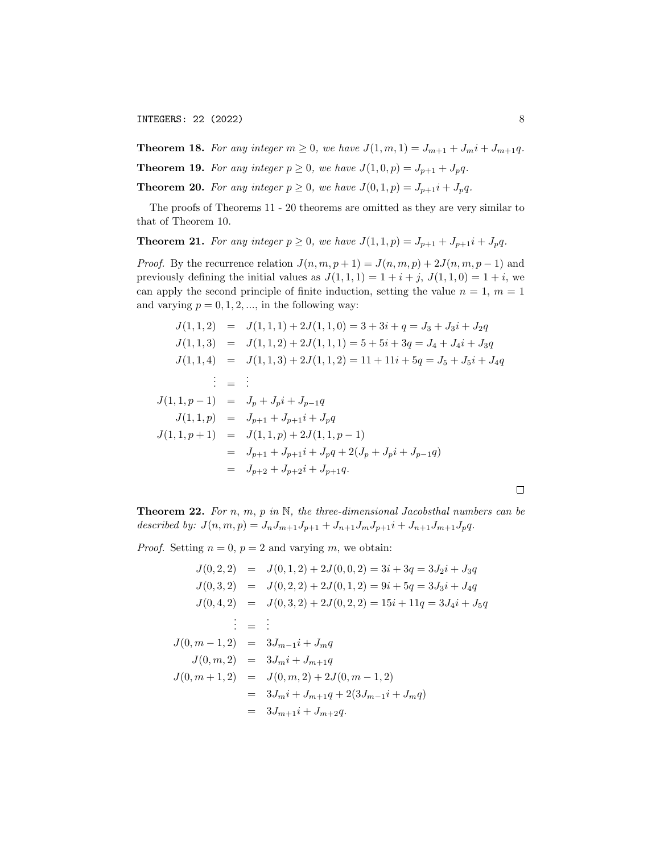INTEGERS: 22 (2022) 8

**Theorem 18.** For any integer  $m \geq 0$ , we have  $J(1, m, 1) = J_{m+1} + J_m i + J_{m+1} q$ .

**Theorem 19.** For any integer  $p \ge 0$ , we have  $J(1,0,p) = J_{p+1} + J_p q$ .

**Theorem 20.** For any integer  $p \ge 0$ , we have  $J(0,1,p) = J_{p+1}i + J_pq$ .

The proofs of Theorems 11 - 20 theorems are omitted as they are very similar to that of Theorem 10.

**Theorem 21.** For any integer  $p \ge 0$ , we have  $J(1,1,p) = J_{p+1} + J_{p+1}i + J_pq$ .

*Proof.* By the recurrence relation  $J(n, m, p + 1) = J(n, m, p) + 2J(n, m, p - 1)$  and previously defining the initial values as  $J(1,1,1) = 1 + i + j$ ,  $J(1,1,0) = 1 + i$ , we can apply the second principle of finite induction, setting the value  $n = 1, m = 1$ and varying  $p = 0, 1, 2, \dots$ , in the following way:

$$
J(1,1,2) = J(1,1,1) + 2J(1,1,0) = 3 + 3i + q = J_3 + J_3i + J_2q
$$
  
\n
$$
J(1,1,3) = J(1,1,2) + 2J(1,1,1) = 5 + 5i + 3q = J_4 + J_4i + J_3q
$$
  
\n
$$
J(1,1,4) = J(1,1,3) + 2J(1,1,2) = 11 + 11i + 5q = J_5 + J_5i + J_4q
$$
  
\n
$$
\vdots = \vdots
$$
  
\n
$$
J(1,1,p-1) = J_p + J_p i + J_{p-1}q
$$
  
\n
$$
J(1,1,p) = J_{p+1} + J_{p+1}i + J_pq
$$
  
\n
$$
J(1,1,p+1) = J(1,1,p) + 2J(1,1,p-1)
$$
  
\n
$$
= J_{p+1} + J_{p+1}i + J_pq + 2(J_p + J_pi + J_{p-1}q)
$$
  
\n
$$
= J_{p+2} + J_{p+2}i + J_{p+1}q.
$$

**Theorem 22.** For n, m, p in  $\mathbb{N}$ , the three-dimensional Jacobsthal numbers can be described by:  $J(n, m, p) = J_n J_{m+1} J_{p+1} + J_{n+1} J_m J_{p+1} i + J_{n+1} J_{m+1} J_p q.$ 

*Proof.* Setting  $n = 0$ ,  $p = 2$  and varying m, we obtain:

$$
J(0,2,2) = J(0,1,2) + 2J(0,0,2) = 3i + 3q = 3J_2i + J_3q
$$
  
\n
$$
J(0,3,2) = J(0,2,2) + 2J(0,1,2) = 9i + 5q = 3J_3i + J_4q
$$
  
\n
$$
J(0,4,2) = J(0,3,2) + 2J(0,2,2) = 15i + 11q = 3J_4i + J_5q
$$
  
\n
$$
\vdots = \vdots
$$
  
\n
$$
J(0,m-1,2) = 3J_{m-1}i + J_mq
$$
  
\n
$$
J(0,m,2) = 3J_m i + J_{m+1}q
$$
  
\n
$$
J(0,m+1,2) = J(0,m,2) + 2J(0,m-1,2)
$$
  
\n
$$
= 3J_m i + J_{m+1}q + 2(3J_{m-1}i + J_mq)
$$
  
\n
$$
= 3J_{m+1}i + J_{m+2}q.
$$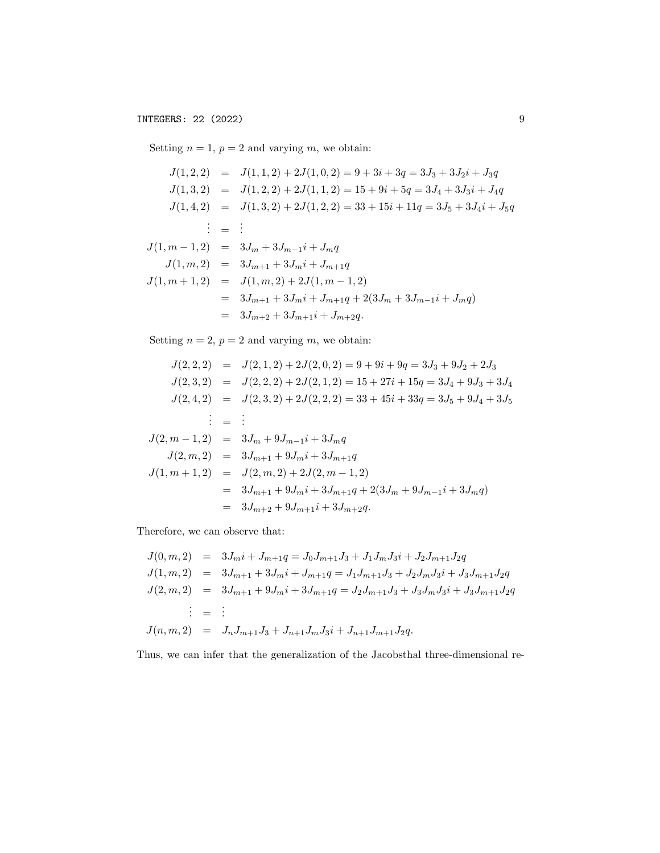Setting  $n = 1$ ,  $p = 2$  and varying m, we obtain:

$$
J(1,2,2) = J(1,1,2) + 2J(1,0,2) = 9 + 3i + 3q = 3J_3 + 3J_2i + J_3q
$$
  
\n
$$
J(1,3,2) = J(1,2,2) + 2J(1,1,2) = 15 + 9i + 5q = 3J_4 + 3J_3i + J_4q
$$
  
\n
$$
J(1,4,2) = J(1,3,2) + 2J(1,2,2) = 33 + 15i + 11q = 3J_5 + 3J_4i + J_5q
$$
  
\n
$$
\vdots = \vdots
$$
  
\n
$$
J(1,m-1,2) = 3J_m + 3J_{m-1}i + J_mq
$$
  
\n
$$
J(1,m,2) = 3J_{m+1} + 3J_m i + J_{m+1}q
$$
  
\n
$$
J(1,m+1,2) = J(1,m,2) + 2J(1,m-1,2)
$$
  
\n
$$
= 3J_{m+1} + 3J_m i + J_{m+1}q + 2(3J_m + 3J_{m-1}i + J_mq)
$$
  
\n
$$
= 3J_{m+2} + 3J_{m+1}i + J_{m+2}q.
$$

Setting  $n = 2$ ,  $p = 2$  and varying m, we obtain:

$$
J(2,2,2) = J(2,1,2) + 2J(2,0,2) = 9 + 9i + 9q = 3J_3 + 9J_2 + 2J_3
$$
  
\n
$$
J(2,3,2) = J(2,2,2) + 2J(2,1,2) = 15 + 27i + 15q = 3J_4 + 9J_3 + 3J_4
$$
  
\n
$$
J(2,4,2) = J(2,3,2) + 2J(2,2,2) = 33 + 45i + 33q = 3J_5 + 9J_4 + 3J_5
$$
  
\n
$$
\vdots = \vdots
$$
  
\n
$$
J(2,m-1,2) = 3J_m + 9J_{m-1}i + 3J_mq
$$
  
\n
$$
J(2,m,2) = 3J_{m+1} + 9J_m i + 3J_{m+1}q
$$
  
\n
$$
J(1,m+1,2) = J(2,m,2) + 2J(2,m-1,2)
$$
  
\n
$$
= 3J_{m+1} + 9J_m i + 3J_{m+1}q + 2(3J_m + 9J_{m-1}i + 3J_mq)
$$
  
\n
$$
= 3J_{m+2} + 9J_{m+1}i + 3J_{m+2}q.
$$

Therefore, we can observe that:

$$
J(0, m, 2) = 3J_m i + J_{m+1}q = J_0 J_{m+1} J_3 + J_1 J_m J_3 i + J_2 J_{m+1} J_2 q
$$
  
\n
$$
J(1, m, 2) = 3J_{m+1} + 3J_m i + J_{m+1}q = J_1 J_{m+1} J_3 + J_2 J_m J_3 i + J_3 J_{m+1} J_2 q
$$
  
\n
$$
J(2, m, 2) = 3J_{m+1} + 9J_m i + 3J_{m+1}q = J_2 J_{m+1} J_3 + J_3 J_m J_3 i + J_3 J_{m+1} J_2 q
$$
  
\n
$$
\vdots = \vdots
$$
  
\n
$$
J(n, m, 2) = J_n J_{m+1} J_3 + J_{n+1} J_m J_3 i + J_{n+1} J_{m+1} J_2 q.
$$

Thus, we can infer that the generalization of the Jacobsthal three-dimensional re-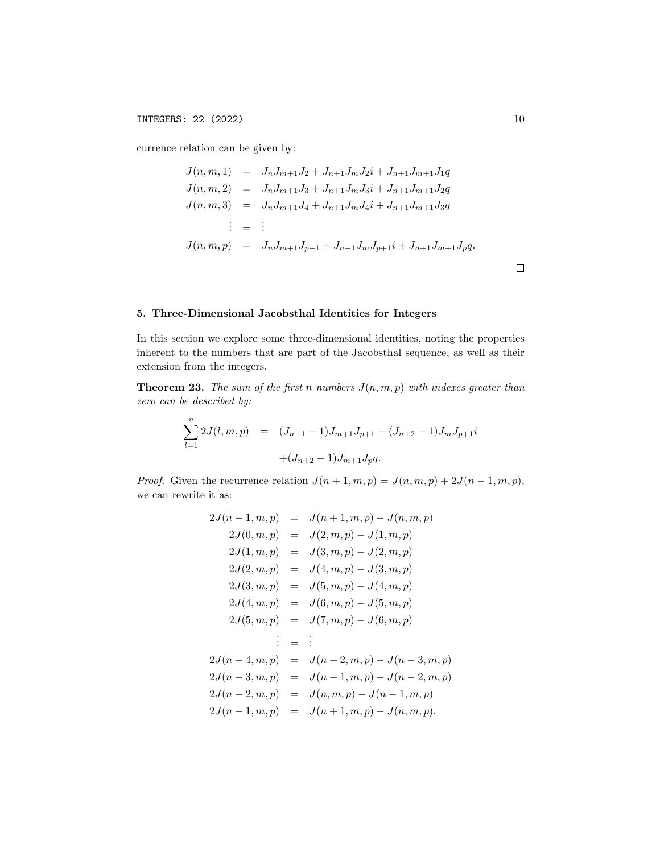currence relation can be given by:

$$
J(n, m, 1) = J_n J_{m+1} J_2 + J_{n+1} J_m J_2 i + J_{n+1} J_{m+1} J_1 q
$$
  
\n
$$
J(n, m, 2) = J_n J_{m+1} J_3 + J_{n+1} J_m J_3 i + J_{n+1} J_{m+1} J_2 q
$$
  
\n
$$
J(n, m, 3) = J_n J_{m+1} J_4 + J_{n+1} J_m J_4 i + J_{n+1} J_{m+1} J_3 q
$$
  
\n
$$
\vdots = \vdots
$$
  
\n
$$
J(n, m, p) = J_n J_{m+1} J_{p+1} + J_{n+1} J_m J_{p+1} i + J_{n+1} J_{m+1} J_p q.
$$

# 5. Three-Dimensional Jacobsthal Identities for Integers

In this section we explore some three-dimensional identities, noting the properties inherent to the numbers that are part of the Jacobsthal sequence, as well as their extension from the integers.

**Theorem 23.** The sum of the first n numbers  $J(n, m, p)$  with indexes greater than zero can be described by:

$$
\sum_{l=1}^{n} 2J(l, m, p) = (J_{n+1} - 1)J_{m+1}J_{p+1} + (J_{n+2} - 1)J_mJ_{p+1}i
$$

$$
+ (J_{n+2} - 1)J_{m+1}J_pq.
$$

*Proof.* Given the recurrence relation  $J(n+1, m, p) = J(n, m, p) + 2J(n-1, m, p)$ , we can rewrite it as:

$$
2J(n-1, m, p) = J(n+1, m, p) - J(n, m, p)
$$
  
\n
$$
2J(0, m, p) = J(2, m, p) - J(1, m, p)
$$
  
\n
$$
2J(1, m, p) = J(3, m, p) - J(2, m, p)
$$
  
\n
$$
2J(2, m, p) = J(4, m, p) - J(3, m, p)
$$
  
\n
$$
2J(3, m, p) = J(5, m, p) - J(4, m, p)
$$
  
\n
$$
2J(4, m, p) = J(6, m, p) - J(5, m, p)
$$
  
\n
$$
2J(5, m, p) = J(7, m, p) - J(6, m, p)
$$
  
\n
$$
\vdots = \vdots
$$
  
\n
$$
2J(n-4, m, p) = J(n-2, m, p) - J(n-3, m, p)
$$
  
\n
$$
2J(n-3, m, p) = J(n-1, m, p) - J(n-2, m, p)
$$
  
\n
$$
2J(n-2, m, p) = J(n, m, p) - J(n-1, m, p)
$$
  
\n
$$
2J(n-1, m, p) = J(n+1, m, p) - J(n, m, p).
$$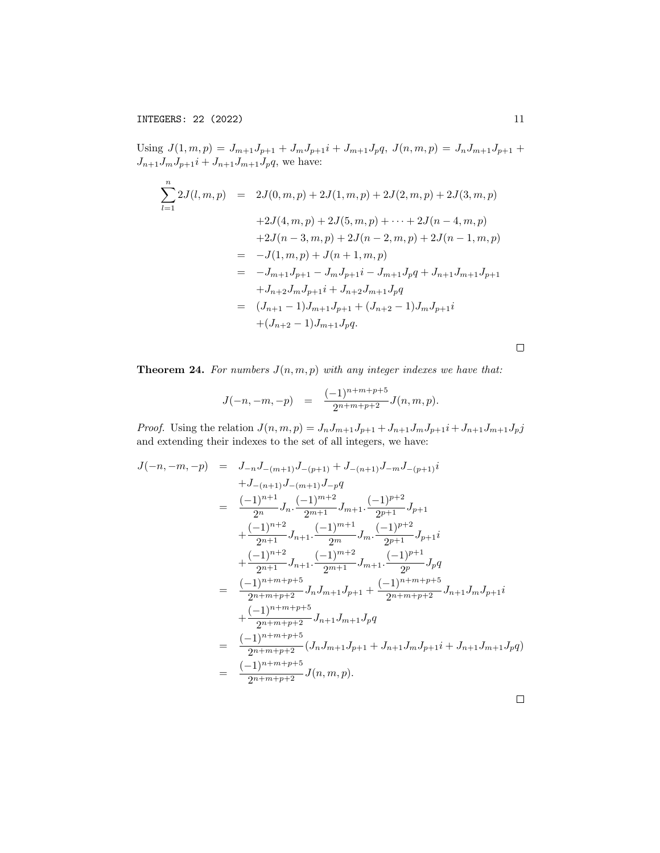Using  $J(1, m, p) = J_{m+1}J_{p+1} + J_mJ_{p+1}i + J_{m+1}J_pq$ ,  $J(n, m, p) = J_nJ_{m+1}J_{p+1} +$  $J_{n+1}J_mJ_{p+1}i + J_{n+1}J_{m+1}J_pq$ , we have:

$$
\sum_{l=1}^{n} 2J(l, m, p) = 2J(0, m, p) + 2J(1, m, p) + 2J(2, m, p) + 2J(3, m, p)
$$
  
+2J(4, m, p) + 2J(5, m, p) + \cdots + 2J(n - 4, m, p)  
+2J(n - 3, m, p) + 2J(n - 2, m, p) + 2J(n - 1, m, p)  
= -J(1, m, p) + J(n + 1, m, p)  
= -J\_{m+1}J\_{p+1} - J\_mJ\_{p+1}i - J\_{m+1}J\_pq + J\_{n+1}J\_{p+1}  
+J\_{n+2}J\_mJ\_{p+1}i + J\_{n+2}J\_{m+1}J\_pq  
= (J\_{n+1} - 1)J\_{m+1}J\_{p+1} + (J\_{n+2} - 1)J\_mJ\_{p+1}i  
+ (J\_{n+2} - 1)J\_{m+1}J\_pq.

 $\Box$ 

**Theorem 24.** For numbers  $J(n, m, p)$  with any integer indexes we have that:

$$
J(-n,-m,-p) = \frac{(-1)^{n+m+p+5}}{2^{n+m+p+2}} J(n,m,p).
$$

*Proof.* Using the relation  $J(n, m, p) = J_n J_{m+1} J_{p+1} + J_{n+1} J_m J_{p+1} + J_{n+1} J_{m+1} J_p j$ and extending their indexes to the set of all integers, we have:

$$
J(-n,-m,-p) = J_{-n}J_{-(m+1)}J_{-(p+1)} + J_{-(n+1)}J_{-m}J_{-(p+1)}i
$$
  
\n
$$
+J_{-(n+1)}J_{-(m+1)}J_{-p}q
$$
  
\n
$$
= \frac{(-1)^{n+1}}{2^n}J_n \cdot \frac{(-1)^{m+2}}{2^{m+1}}J_{m+1} \cdot \frac{(-1)^{p+2}}{2^{p+1}}J_{p+1}
$$
  
\n
$$
+ \frac{(-1)^{n+2}}{2^{n+1}}J_{n+1} \cdot \frac{(-1)^{m+1}}{2^m}J_m \cdot \frac{(-1)^{p+2}}{2^{p+1}}J_{p+1}i
$$
  
\n
$$
+ \frac{(-1)^{n+2}}{2^{n+1}}J_{n+1} \cdot \frac{(-1)^{m+2}}{2^{m+1}}J_{m+1} \cdot \frac{(-1)^{p+1}}{2^p}J_pq
$$
  
\n
$$
= \frac{(-1)^{n+m+p+5}}{2^{n+m+p+2}}J_nJ_{m+1}J_{p+1} + \frac{(-1)^{n+m+p+5}}{2^{n+m+p+2}}J_{n+1}J_mJ_{p+1}i
$$
  
\n
$$
+ \frac{(-1)^{n+m+p+5}}{2^{n+m+p+2}}J_{n+1}J_{m+1}J_pq
$$
  
\n
$$
= \frac{(-1)^{n+m+p+5}}{2^{n+m+p+2}}(J_nJ_{m+1}J_{p+1} + J_{n+1}J_mJ_{p+1}i + J_{n+1}J_{m+1}J_pq)
$$
  
\n
$$
= \frac{(-1)^{n+m+p+5}}{2^{n+m+p+2}}J(n, m, p).
$$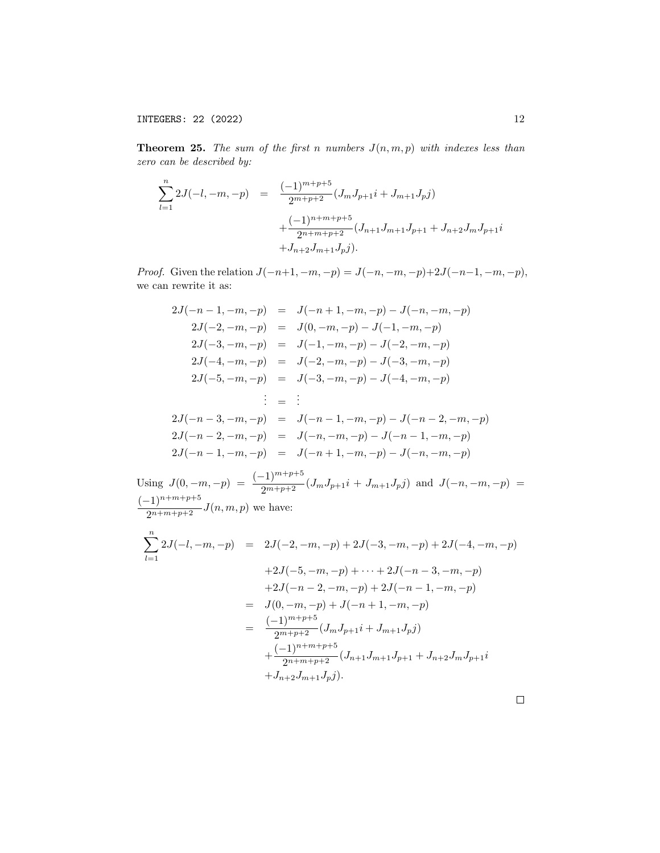**Theorem 25.** The sum of the first n numbers  $J(n, m, p)$  with indexes less than zero can be described by:

$$
\sum_{l=1}^{n} 2J(-l, -m, -p) = \frac{(-1)^{m+p+5}}{2^{m+p+2}} (J_m J_{p+1} i + J_{m+1} J_p j)
$$
  
 
$$
+ \frac{(-1)^{n+m+p+5}}{2^{n+m+p+2}} (J_{n+1} J_{m+1} J_{p+1} + J_{n+2} J_m J_{p+1} i + J_{n+2} J_{m+1} J_p j).
$$

*Proof.* Given the relation  $J(-n+1, -m, -p) = J(-n, -m, -p)+2J(-n-1, -m, -p)$ , we can rewrite it as:

$$
2J(-n-1,-m,-p) = J(-n+1,-m,-p) - J(-n,-m,-p)
$$
  
\n
$$
2J(-2,-m,-p) = J(0,-m,-p) - J(-1,-m,-p)
$$
  
\n
$$
2J(-3,-m,-p) = J(-1,-m,-p) - J(-2,-m,-p)
$$
  
\n
$$
2J(-4,-m,-p) = J(-2,-m,-p) - J(-3,-m,-p)
$$
  
\n
$$
2J(-5,-m,-p) = J(-3,-m,-p) - J(-4,-m,-p)
$$
  
\n
$$
\vdots = \vdots
$$
  
\n
$$
2J(-n-3,-m,-p) = J(-n-1,-m,-p) - J(-n-2,-m,-p)
$$
  
\n
$$
2J(-n-2,-m,-p) = J(-n,-m,-p) - J(-n-1,-m,-p)
$$
  
\n
$$
2J(-n-1,-m,-p) = J(-n+1,-m,-p) - J(-n,-m,-p)
$$

Using 
$$
J(0, -m, -p) = \frac{(-1)^{m+p+5}}{2^{m+p+2}} (J_m J_{p+1} i + J_{m+1} J_p j)
$$
 and  $J(-n, -m, -p) = \frac{(-1)^{n+m+p+5}}{2^{n+m+p+2}} J(n, m, p)$  we have:  
\n
$$
\sum_{l=1}^{n} 2J(-l, -m, -p) = 2J(-2, -m, -p) + 2J(-3, -m, -p) + 2J(-4, -m, -p)
$$
\n
$$
+2J(-5, -m, -p) + \cdots + 2J(-n-3, -m, -p)
$$
\n
$$
+2J(-n-2, -m, -p) + 2J(-n-1, -m, -p)
$$
\n
$$
= J(0, -m, -p) + J(-n+1, -m, -p)
$$
\n
$$
= \frac{(-1)^{m+p+5}}{2^{m+p+2}} (J_m J_{p+1} i + J_{m+1} J_p j)
$$
\n
$$
+ \frac{(-1)^{n+m+p+5}}{2^{n+m+p+2}} (J_{n+1} J_{m+1} J_{p+1} + J_{n+2} J_m J_{p+1} i + J_{n+2} J_{m+1} J_p j).
$$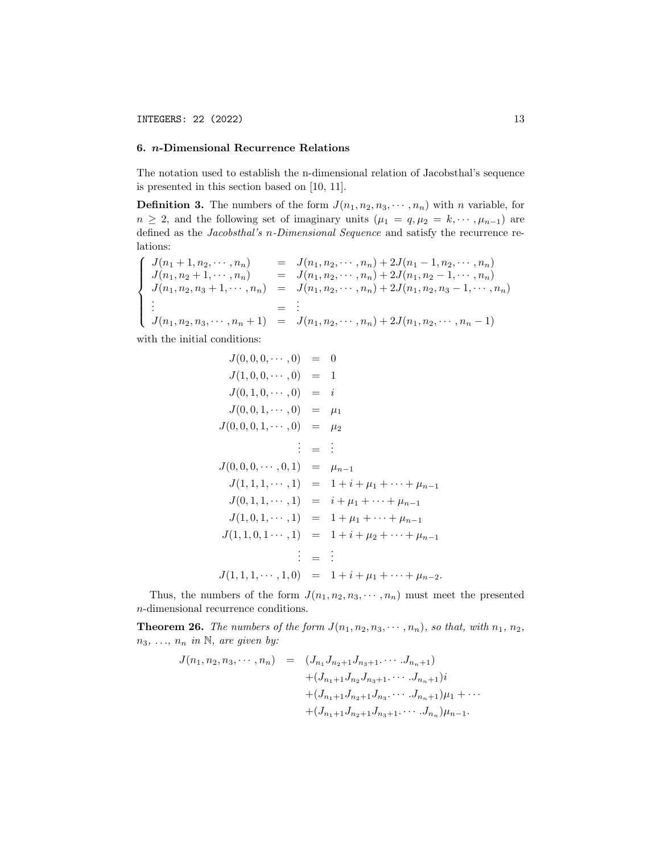### 6. n-Dimensional Recurrence Relations

The notation used to establish the n-dimensional relation of Jacobsthal's sequence is presented in this section based on [10, 11].

**Definition 3.** The numbers of the form  $J(n_1, n_2, n_3, \dots, n_n)$  with n variable, for  $n \geq 2$ , and the following set of imaginary units  $(\mu_1 = q, \mu_2 = k, \dots, \mu_{n-1})$  are defined as the Jacobsthal's n-Dimensional Sequence and satisfy the recurrence relations:

$$
\begin{cases}\nJ(n_1+1, n_2, \dots, n_n) & = J(n_1, n_2, \dots, n_n) + 2J(n_1-1, n_2, \dots, n_n) \\
J(n_1, n_2+1, \dots, n_n) & = J(n_1, n_2, \dots, n_n) + 2J(n_1, n_2-1, \dots, n_n) \\
J(n_1, n_2, n_3+1, \dots, n_n) & = J(n_1, n_2, \dots, n_n) + 2J(n_1, n_2, n_3-1, \dots, n_n) \\
\vdots & = & \vdots \\
J(n_1, n_2, n_3, \dots, n_n+1) & = J(n_1, n_2, \dots, n_n) + 2J(n_1, n_2, \dots, n_n-1)\n\end{cases}
$$

with the initial conditions:

$$
J(0,0,0,\dots,0) = 0
$$
  
\n
$$
J(1,0,0,\dots,0) = 1
$$
  
\n
$$
J(0,1,0,\dots,0) = i
$$
  
\n
$$
J(0,0,1,\dots,0) = \mu_1
$$
  
\n
$$
J(0,0,0,1,\dots,0) = \mu_2
$$
  
\n
$$
\vdots = \vdots
$$
  
\n
$$
J(0,0,0,\dots,0,1) = \mu_{n-1}
$$
  
\n
$$
J(1,1,1,\dots,1) = 1 + i + \mu_1 + \dots + \mu_{n-1}
$$
  
\n
$$
J(0,1,1,\dots,1) = i + \mu_1 + \dots + \mu_{n-1}
$$
  
\n
$$
J(1,0,1,\dots,1) = 1 + i + \mu_2 + \dots + \mu_{n-1}
$$
  
\n
$$
\vdots = \vdots
$$
  
\n
$$
J(1,1,0,1\dots,1) = 1 + i + \mu_2 + \dots + \mu_{n-1}
$$
  
\n
$$
\vdots = \vdots
$$
  
\n
$$
J(1,1,1,\dots,1,0) = 1 + i + \mu_1 + \dots + \mu_{n-2}.
$$

Thus, the numbers of the form  $J(n_1, n_2, n_3, \dots, n_n)$  must meet the presented n-dimensional recurrence conditions.

**Theorem 26.** The numbers of the form  $J(n_1, n_2, n_3, \dots, n_n)$ , so that, with  $n_1, n_2$ ,  $n_3, \ldots, n_n$  in N, are given by:

$$
J(n_1, n_2, n_3, \cdots, n_n) = (J_{n_1} J_{n_2+1} J_{n_3+1} \cdots J_{n_n+1})
$$
  
+  $(J_{n_1+1} J_{n_2} J_{n_3+1} \cdots J_{n_n+1})i$   
+  $(J_{n_1+1} J_{n_2+1} J_{n_3} \cdots J_{n_n+1})\mu_1 + \cdots$   
+  $(J_{n_1+1} J_{n_2+1} J_{n_3+1} \cdots J_{n_n})\mu_{n-1}.$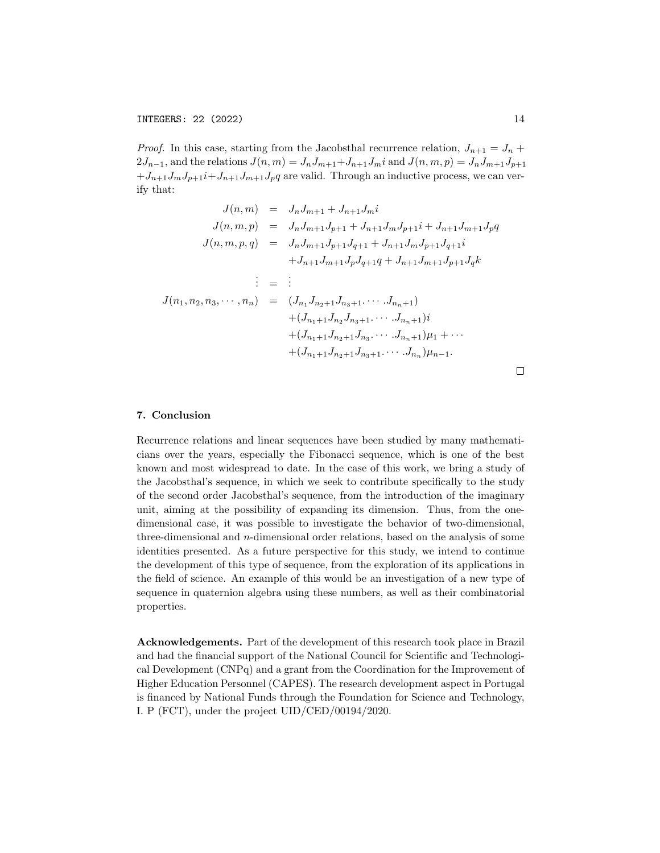*Proof.* In this case, starting from the Jacobsthal recurrence relation,  $J_{n+1} = J_n +$  $2J_{n-1}$ , and the relations  $J(n,m) = J_nJ_{m+1}+J_{n+1}J_m$  and  $J(n,m,p) = J_nJ_{m+1}J_{p+1}$  $+J_{n+1}J_mJ_{p+1}i+J_{n+1}J_{m+1}J_pq$  are valid. Through an inductive process, we can verify that:

$$
J(n,m) = J_n J_{m+1} + J_{n+1} J_m i
$$
  
\n
$$
J(n,m,p) = J_n J_{m+1} J_{p+1} + J_{n+1} J_m J_{p+1} i + J_{n+1} J_{m+1} J_p q
$$
  
\n
$$
J(n,m,p,q) = J_n J_{m+1} J_{p+1} J_{q+1} + J_{n+1} J_m J_{p+1} J_{q+1} i
$$
  
\n
$$
+ J_{n+1} J_{m+1} J_p J_{q+1} q + J_{n+1} J_{m+1} J_{p+1} J_q k
$$
  
\n
$$
\vdots = \vdots
$$
  
\n
$$
J(n_1, n_2, n_3, \dots, n_n) = (J_{n_1} J_{n_2+1} J_{n_3+1} \dots J_{n_n+1})
$$
  
\n
$$
+ (J_{n_1+1} J_{n_2} J_{n_3+1} \dots J_{n_n+1}) \mu_1 + \dots
$$
  
\n
$$
+ (J_{n_1+1} J_{n_2+1} J_{n_3} \dots J_{n_n}) \mu_{n-1}.
$$

## 7. Conclusion

Recurrence relations and linear sequences have been studied by many mathematicians over the years, especially the Fibonacci sequence, which is one of the best known and most widespread to date. In the case of this work, we bring a study of the Jacobsthal's sequence, in which we seek to contribute specifically to the study of the second order Jacobsthal's sequence, from the introduction of the imaginary unit, aiming at the possibility of expanding its dimension. Thus, from the onedimensional case, it was possible to investigate the behavior of two-dimensional, three-dimensional and n-dimensional order relations, based on the analysis of some identities presented. As a future perspective for this study, we intend to continue the development of this type of sequence, from the exploration of its applications in the field of science. An example of this would be an investigation of a new type of sequence in quaternion algebra using these numbers, as well as their combinatorial properties.

Acknowledgements. Part of the development of this research took place in Brazil and had the financial support of the National Council for Scientific and Technological Development (CNPq) and a grant from the Coordination for the Improvement of Higher Education Personnel (CAPES). The research development aspect in Portugal is financed by National Funds through the Foundation for Science and Technology, I. P (FCT), under the project UID/CED/00194/2020.